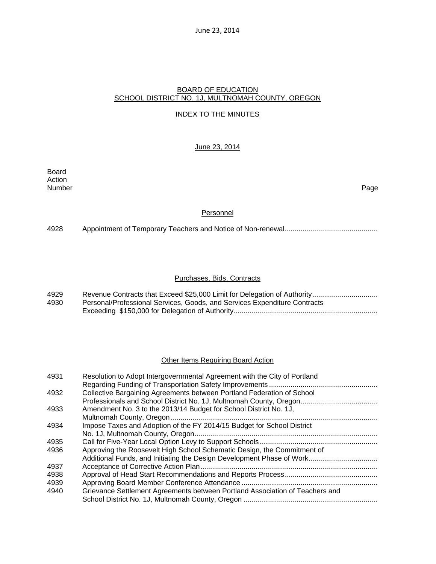# BOARD OF EDUCATION SCHOOL DISTRICT NO. 1J, MULTNOMAH COUNTY, OREGON

# INDEX TO THE MINUTES

# June 23, 2014

Board Action Number Page

### **Personnel**

4928 Appointment of Temporary Teachers and Notice of Non-renewal ...............................................

# Purchases, Bids, Contracts

| 4929 |                                                                           |
|------|---------------------------------------------------------------------------|
| 4930 | Personal/Professional Services, Goods, and Services Expenditure Contracts |
|      |                                                                           |

# **Other Items Requiring Board Action**

| 4931 | Resolution to Adopt Intergovernmental Agreement with the City of Portland    |
|------|------------------------------------------------------------------------------|
|      |                                                                              |
| 4932 | Collective Bargaining Agreements between Portland Federation of School       |
|      |                                                                              |
| 4933 | Amendment No. 3 to the 2013/14 Budget for School District No. 1J,            |
|      |                                                                              |
| 4934 | Impose Taxes and Adoption of the FY 2014/15 Budget for School District       |
|      |                                                                              |
| 4935 |                                                                              |
| 4936 | Approving the Roosevelt High School Schematic Design, the Commitment of      |
|      |                                                                              |
| 4937 |                                                                              |
| 4938 |                                                                              |
| 4939 |                                                                              |
| 4940 | Grievance Settlement Agreements between Portland Association of Teachers and |
|      |                                                                              |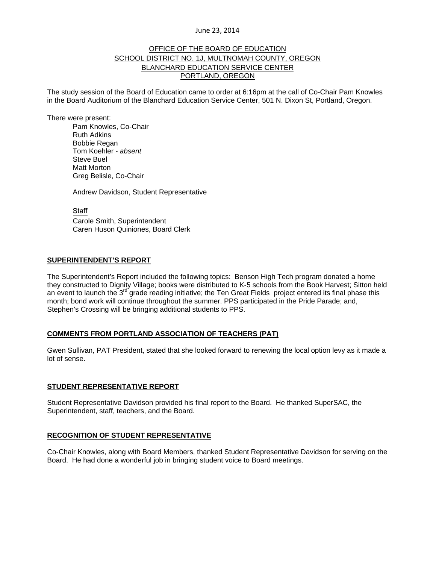# OFFICE OF THE BOARD OF EDUCATION SCHOOL DISTRICT NO. 1J, MULTNOMAH COUNTY, OREGON BLANCHARD EDUCATION SERVICE CENTER PORTLAND, OREGON

The study session of the Board of Education came to order at 6:16pm at the call of Co-Chair Pam Knowles in the Board Auditorium of the Blanchard Education Service Center, 501 N. Dixon St, Portland, Oregon.

There were present: Pam Knowles, Co-Chair Ruth Adkins Bobbie Regan Tom Koehler - *absent* Steve Buel Matt Morton Greg Belisle, Co-Chair

Andrew Davidson, Student Representative

**Staff** 

 Carole Smith, Superintendent Caren Huson Quiniones, Board Clerk

# **SUPERINTENDENT'S REPORT**

The Superintendent's Report included the following topics: Benson High Tech program donated a home they constructed to Dignity Village; books were distributed to K-5 schools from the Book Harvest; Sitton held an event to launch the 3<sup>rd</sup> grade reading initiative; the Ten Great Fields project entered its final phase this month; bond work will continue throughout the summer. PPS participated in the Pride Parade; and, Stephen's Crossing will be bringing additional students to PPS.

#### **COMMENTS FROM PORTLAND ASSOCIATION OF TEACHERS (PAT)**

Gwen Sullivan, PAT President, stated that she looked forward to renewing the local option levy as it made a lot of sense.

#### **STUDENT REPRESENTATIVE REPORT**

Student Representative Davidson provided his final report to the Board. He thanked SuperSAC, the Superintendent, staff, teachers, and the Board.

#### **RECOGNITION OF STUDENT REPRESENTATIVE**

Co-Chair Knowles, along with Board Members, thanked Student Representative Davidson for serving on the Board. He had done a wonderful job in bringing student voice to Board meetings.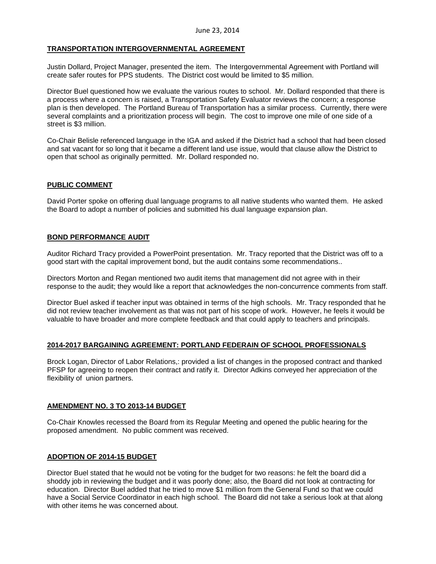# **TRANSPORTATION INTERGOVERNMENTAL AGREEMENT**

Justin Dollard, Project Manager, presented the item. The Intergovernmental Agreement with Portland will create safer routes for PPS students. The District cost would be limited to \$5 million.

Director Buel questioned how we evaluate the various routes to school. Mr. Dollard responded that there is a process where a concern is raised, a Transportation Safety Evaluator reviews the concern; a response plan is then developed. The Portland Bureau of Transportation has a similar process. Currently, there were several complaints and a prioritization process will begin. The cost to improve one mile of one side of a street is \$3 million.

Co-Chair Belisle referenced language in the IGA and asked if the District had a school that had been closed and sat vacant for so long that it became a different land use issue, would that clause allow the District to open that school as originally permitted. Mr. Dollard responded no.

# **PUBLIC COMMENT**

David Porter spoke on offering dual language programs to all native students who wanted them. He asked the Board to adopt a number of policies and submitted his dual language expansion plan.

# **BOND PERFORMANCE AUDIT**

Auditor Richard Tracy provided a PowerPoint presentation. Mr. Tracy reported that the District was off to a good start with the capital improvement bond, but the audit contains some recommendations..

Directors Morton and Regan mentioned two audit items that management did not agree with in their response to the audit; they would like a report that acknowledges the non-concurrence comments from staff.

Director Buel asked if teacher input was obtained in terms of the high schools. Mr. Tracy responded that he did not review teacher involvement as that was not part of his scope of work. However, he feels it would be valuable to have broader and more complete feedback and that could apply to teachers and principals.

#### **2014-2017 BARGAINING AGREEMENT: PORTLAND FEDERAIN OF SCHOOL PROFESSIONALS**

Brock Logan, Director of Labor Relations,: provided a list of changes in the proposed contract and thanked PFSP for agreeing to reopen their contract and ratify it. Director Adkins conveyed her appreciation of the flexibility of union partners.

#### **AMENDMENT NO. 3 TO 2013-14 BUDGET**

Co-Chair Knowles recessed the Board from its Regular Meeting and opened the public hearing for the proposed amendment. No public comment was received.

# **ADOPTION OF 2014-15 BUDGET**

Director Buel stated that he would not be voting for the budget for two reasons: he felt the board did a shoddy job in reviewing the budget and it was poorly done; also, the Board did not look at contracting for education. Director Buel added that he tried to move \$1 million from the General Fund so that we could have a Social Service Coordinator in each high school. The Board did not take a serious look at that along with other items he was concerned about.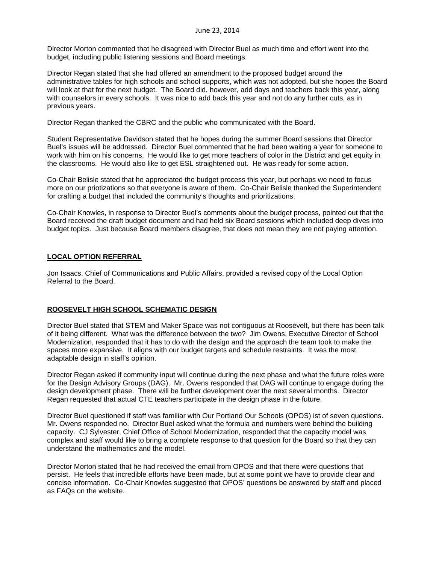Director Morton commented that he disagreed with Director Buel as much time and effort went into the budget, including public listening sessions and Board meetings.

Director Regan stated that she had offered an amendment to the proposed budget around the administrative tables for high schools and school supports, which was not adopted, but she hopes the Board will look at that for the next budget. The Board did, however, add days and teachers back this year, along with counselors in every schools. It was nice to add back this year and not do any further cuts, as in previous years.

Director Regan thanked the CBRC and the public who communicated with the Board.

Student Representative Davidson stated that he hopes during the summer Board sessions that Director Buel's issues will be addressed. Director Buel commented that he had been waiting a year for someone to work with him on his concerns. He would like to get more teachers of color in the District and get equity in the classrooms. He would also like to get ESL straightened out. He was ready for some action.

Co-Chair Belisle stated that he appreciated the budget process this year, but perhaps we need to focus more on our priotizations so that everyone is aware of them. Co-Chair Belisle thanked the Superintendent for crafting a budget that included the community's thoughts and prioritizations.

Co-Chair Knowles, in response to Director Buel's comments about the budget process, pointed out that the Board received the draft budget document and had held six Board sessions which included deep dives into budget topics. Just because Board members disagree, that does not mean they are not paying attention.

# **LOCAL OPTION REFERRAL**

Jon Isaacs, Chief of Communications and Public Affairs, provided a revised copy of the Local Option Referral to the Board.

# **ROOSEVELT HIGH SCHOOL SCHEMATIC DESIGN**

Director Buel stated that STEM and Maker Space was not contiguous at Roosevelt, but there has been talk of it being different. What was the difference between the two? Jim Owens, Executive Director of School Modernization, responded that it has to do with the design and the approach the team took to make the spaces more expansive. It aligns with our budget targets and schedule restraints. It was the most adaptable design in staff's opinion.

Director Regan asked if community input will continue during the next phase and what the future roles were for the Design Advisory Groups (DAG). Mr. Owens responded that DAG will continue to engage during the design development phase. There will be further development over the next several months. Director Regan requested that actual CTE teachers participate in the design phase in the future.

Director Buel questioned if staff was familiar with Our Portland Our Schools (OPOS) ist of seven questions. Mr. Owens responded no. Director Buel asked what the formula and numbers were behind the building capacity. CJ Sylvester, Chief Office of School Modernization, responded that the capacity model was complex and staff would like to bring a complete response to that question for the Board so that they can understand the mathematics and the model.

Director Morton stated that he had received the email from OPOS and that there were questions that persist. He feels that incredible efforts have been made, but at some point we have to provide clear and concise information. Co-Chair Knowles suggested that OPOS' questions be answered by staff and placed as FAQs on the website.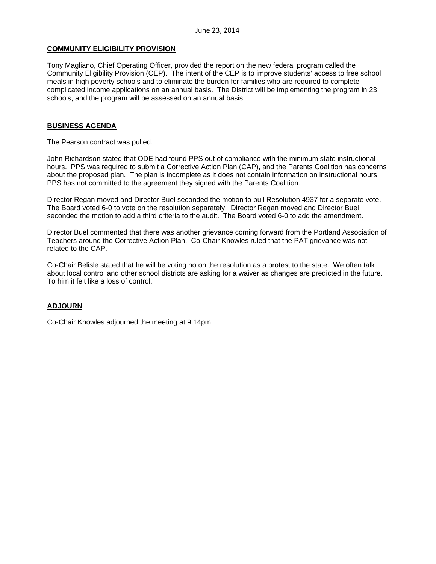# **COMMUNITY ELIGIBILITY PROVISION**

Tony Magliano, Chief Operating Officer, provided the report on the new federal program called the Community Eligibility Provision (CEP). The intent of the CEP is to improve students' access to free school meals in high poverty schools and to eliminate the burden for families who are required to complete complicated income applications on an annual basis. The District will be implementing the program in 23 schools, and the program will be assessed on an annual basis.

# **BUSINESS AGENDA**

The Pearson contract was pulled.

John Richardson stated that ODE had found PPS out of compliance with the minimum state instructional hours. PPS was required to submit a Corrective Action Plan (CAP), and the Parents Coalition has concerns about the proposed plan. The plan is incomplete as it does not contain information on instructional hours. PPS has not committed to the agreement they signed with the Parents Coalition.

Director Regan moved and Director Buel seconded the motion to pull Resolution 4937 for a separate vote. The Board voted 6-0 to vote on the resolution separately. Director Regan moved and Director Buel seconded the motion to add a third criteria to the audit. The Board voted 6-0 to add the amendment.

Director Buel commented that there was another grievance coming forward from the Portland Association of Teachers around the Corrective Action Plan. Co-Chair Knowles ruled that the PAT grievance was not related to the CAP.

Co-Chair Belisle stated that he will be voting no on the resolution as a protest to the state. We often talk about local control and other school districts are asking for a waiver as changes are predicted in the future. To him it felt like a loss of control.

# **ADJOURN**

Co-Chair Knowles adjourned the meeting at 9:14pm.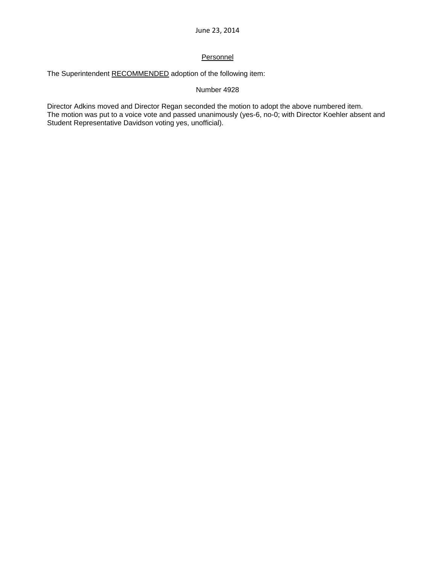# **Personnel**

The Superintendent RECOMMENDED adoption of the following item:

# Number 4928

Director Adkins moved and Director Regan seconded the motion to adopt the above numbered item. The motion was put to a voice vote and passed unanimously (yes-6, no-0; with Director Koehler absent and Student Representative Davidson voting yes, unofficial).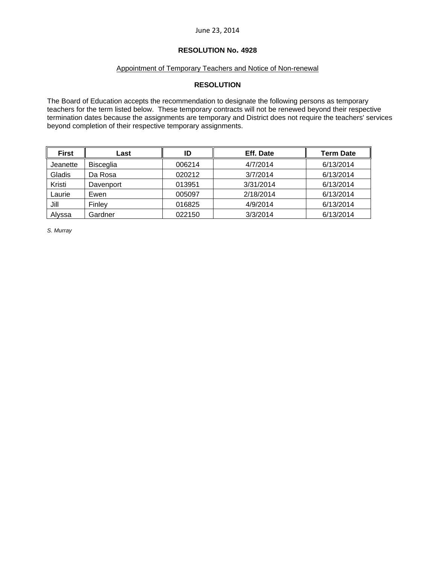# **RESOLUTION No. 4928**

# Appointment of Temporary Teachers and Notice of Non-renewal

# **RESOLUTION**

The Board of Education accepts the recommendation to designate the following persons as temporary teachers for the term listed below. These temporary contracts will not be renewed beyond their respective termination dates because the assignments are temporary and District does not require the teachers' services beyond completion of their respective temporary assignments.

| <b>First</b> | Last             | ID     | Eff. Date | <b>Term Date</b> |
|--------------|------------------|--------|-----------|------------------|
| Jeanette     | <b>Bisceglia</b> | 006214 | 4/7/2014  | 6/13/2014        |
| Gladis       | Da Rosa          | 020212 | 3/7/2014  | 6/13/2014        |
| Kristi       | Davenport        | 013951 | 3/31/2014 | 6/13/2014        |
| Laurie       | Ewen             | 005097 | 2/18/2014 | 6/13/2014        |
| Jill         | Finley           | 016825 | 4/9/2014  | 6/13/2014        |
| Alyssa       | Gardner          | 022150 | 3/3/2014  | 6/13/2014        |

*S. Murray*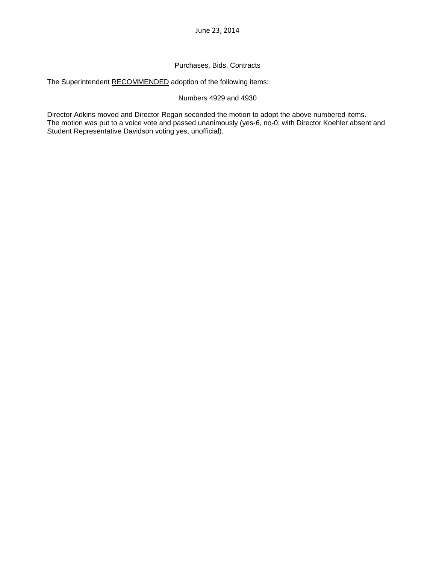# Purchases, Bids, Contracts

The Superintendent RECOMMENDED adoption of the following items:

# Numbers 4929 and 4930

Director Adkins moved and Director Regan seconded the motion to adopt the above numbered items. The motion was put to a voice vote and passed unanimously (yes-6, no-0; with Director Koehler absent and Student Representative Davidson voting yes, unofficial).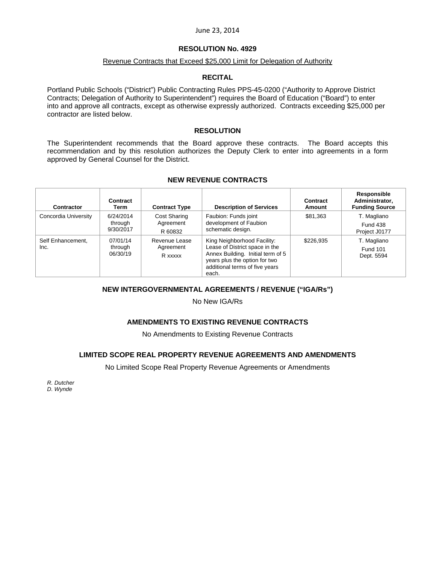### **RESOLUTION No. 4929**

#### Revenue Contracts that Exceed \$25,000 Limit for Delegation of Authority

#### **RECITAL**

Portland Public Schools ("District") Public Contracting Rules PPS-45-0200 ("Authority to Approve District Contracts; Delegation of Authority to Superintendent") requires the Board of Education ("Board") to enter into and approve all contracts, except as otherwise expressly authorized. Contracts exceeding \$25,000 per contractor are listed below.

#### **RESOLUTION**

The Superintendent recommends that the Board approve these contracts. The Board accepts this recommendation and by this resolution authorizes the Deputy Clerk to enter into agreements in a form approved by General Counsel for the District.

# **NEW REVENUE CONTRACTS**

| Contractor                | Contract<br>Term                  | <b>Contract Type</b>                  | <b>Description of Services</b>                                                                                                                                                 | Contract<br>Amount | Responsible<br>Administrator,<br><b>Funding Source</b> |
|---------------------------|-----------------------------------|---------------------------------------|--------------------------------------------------------------------------------------------------------------------------------------------------------------------------------|--------------------|--------------------------------------------------------|
| Concordia University      | 6/24/2014<br>through<br>9/30/2017 | Cost Sharing<br>Agreement<br>R 60832  | Faubion: Funds joint<br>development of Faubion<br>schematic design.                                                                                                            | \$81,363           | T. Magliano<br><b>Fund 438</b><br>Project J0177        |
| Self Enhancement,<br>Inc. | 07/01/14<br>through<br>06/30/19   | Revenue Lease<br>Agreement<br>R xxxxx | King Neighborhood Facility:<br>Lease of District space in the<br>Annex Building. Initial term of 5<br>years plus the option for two<br>additional terms of five years<br>each. | \$226.935          | T. Magliano<br><b>Fund 101</b><br>Dept. 5594           |

#### **NEW INTERGOVERNMENTAL AGREEMENTS / REVENUE ("IGA/Rs")**

No New IGA/Rs

# **AMENDMENTS TO EXISTING REVENUE CONTRACTS**

No Amendments to Existing Revenue Contracts

# **LIMITED SCOPE REAL PROPERTY REVENUE AGREEMENTS AND AMENDMENTS**

No Limited Scope Real Property Revenue Agreements or Amendments

*R. Dutcher* 

*D. Wynde*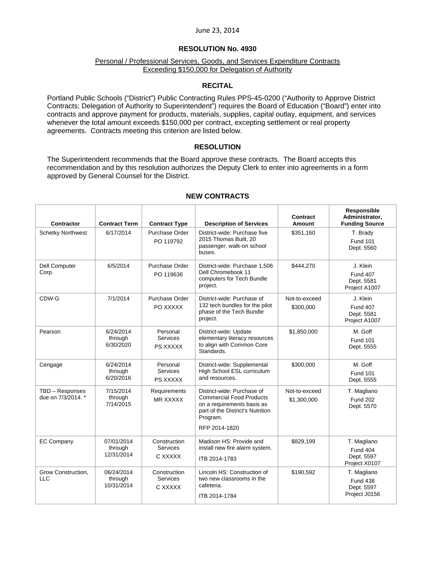# **RESOLUTION No. 4930**

# Personal / Professional Services, Goods, and Services Expenditure Contracts Exceeding \$150,000 for Delegation of Authority

# **RECITAL**

Portland Public Schools ("District") Public Contracting Rules PPS-45-0200 ("Authority to Approve District Contracts; Delegation of Authority to Superintendent") requires the Board of Education ("Board") enter into contracts and approve payment for products, materials, supplies, capital outlay, equipment, and services whenever the total amount exceeds \$150,000 per contract, excepting settlement or real property agreements. Contracts meeting this criterion are listed below.

# **RESOLUTION**

The Superintendent recommends that the Board approve these contracts. The Board accepts this recommendation and by this resolution authorizes the Deputy Clerk to enter into agreements in a form approved by General Counsel for the District.

| <b>Contractor</b>                     | <b>Contract Term</b>                | <b>Contract Type</b>                       | <b>Description of Services</b>                                                                                                                               | Contract<br>Amount           | Responsible<br>Administrator,<br><b>Funding Source</b>        |
|---------------------------------------|-------------------------------------|--------------------------------------------|--------------------------------------------------------------------------------------------------------------------------------------------------------------|------------------------------|---------------------------------------------------------------|
| <b>Schetky Northwest</b>              | 6/17/2014                           | Purchase Order<br>PO 119792                | District-wide: Purchase five<br>2015 Thomas Built, 20<br>passenger, walk-on school<br>buses.                                                                 | \$351.160                    | T. Brady<br><b>Fund 101</b><br>Dept. 5560                     |
| Dell Computer<br>Corp.                | 6/5/2014                            | Purchase Order<br>PO 119636                | District-wide: Purchase 1,506<br>Dell Chromebook 11<br>computers for Tech Bundle<br>project.                                                                 | \$444,270                    | J. Klein<br><b>Fund 407</b><br>Dept. 5581<br>Project A1007    |
| CDW-G                                 | 7/1/2014                            | Purchase Order<br>PO XXXXX                 | District-wide: Purchase of<br>132 tech bundles for the pilot<br>phase of the Tech Bundle<br>project.                                                         | Not-to-exceed<br>\$300,000   | J. Klein<br><b>Fund 407</b><br>Dept. 5581<br>Project A1007    |
| Pearson                               | 6/24/2014<br>through<br>6/30/2020   | Personal<br><b>Services</b><br>PS XXXXX    | District-wide: Update<br>elementary literacy resources<br>to align with Common Core<br>Standards.                                                            | \$1,850,000                  | M. Goff<br><b>Fund 101</b><br>Dept. 5555                      |
| Cengage                               | 6/24/2014<br>through<br>6/20/2016   | Personal<br><b>Services</b><br>PS XXXXX    | District-wide: Supplemental<br>High School ESL curriculum<br>and resources.                                                                                  | \$300,000                    | M. Goff<br><b>Fund 101</b><br>Dept. 5555                      |
| TBD - Responses<br>due on 7/3/2014. * | 7/15/2014<br>through<br>7/14/2015   | Requirements<br>MR XXXXX                   | District-wide: Purchase of<br><b>Commercial Food Products</b><br>on a requirements basis as<br>part of the District's Nutrition<br>Program.<br>RFP 2014-1820 | Not-to-exceed<br>\$1,300,000 | T. Magliano<br><b>Fund 202</b><br>Dept. 5570                  |
| <b>EC Company</b>                     | 07/01/2014<br>through<br>12/31/2014 | Construction<br><b>Services</b><br>C XXXXX | Madison HS: Provide and<br>install new fire alarm system.<br>ITB 2014-1783                                                                                   | \$829,199                    | T. Magliano<br><b>Fund 404</b><br>Dept. 5597<br>Project X0107 |
| Grow Construction,<br><b>LLC</b>      | 06/24/2014<br>through<br>10/31/2014 | Construction<br><b>Services</b><br>C XXXXX | Lincoln HS: Construction of<br>two new classrooms in the<br>cafeteria.<br>ITB 2014-1784                                                                      | \$190,592                    | T. Magliano<br><b>Fund 438</b><br>Dept. 5597<br>Project J0156 |

# **NEW CONTRACTS**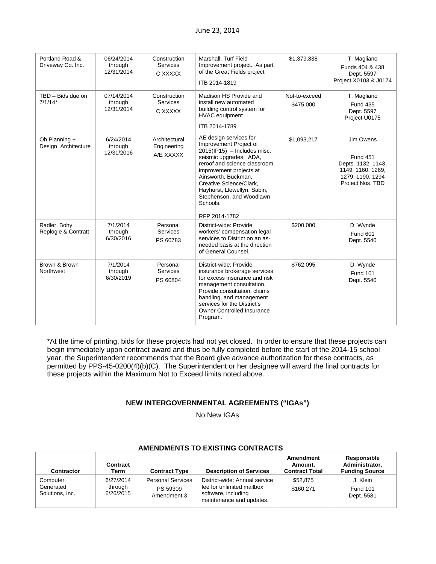| Portland Road &<br>Driveway Co. Inc. | 06/24/2014<br>through<br>12/31/2014 | Construction<br><b>Services</b><br>C XXXXX | Marshall: Turf Field<br>Improvement project. As part<br>of the Great Fields project<br>ITB 2014-1819                                                                                                                                                                                                              | \$1,379,838                | T. Magliano<br>Funds 404 & 438<br>Dept. 5597<br>Project X0103 & J0174                                           |
|--------------------------------------|-------------------------------------|--------------------------------------------|-------------------------------------------------------------------------------------------------------------------------------------------------------------------------------------------------------------------------------------------------------------------------------------------------------------------|----------------------------|-----------------------------------------------------------------------------------------------------------------|
| TBD - Bids due on<br>$7/1/14*$       | 07/14/2014<br>through<br>12/31/2014 | Construction<br>Services<br>C XXXXX        | Madison HS Provide and<br>install new automated<br>building control system for<br><b>HVAC</b> equipment<br>ITB 2014-1789                                                                                                                                                                                          | Not-to-exceed<br>\$475,000 | T. Magliano<br><b>Fund 435</b><br>Dept. 5597<br>Project U0175                                                   |
| Oh Planning +<br>Design Architecture | 6/24/2014<br>through<br>12/31/2016  | Architectural<br>Engineering<br>A/E XXXXX  | AE design services for<br>Improvement Project of<br>$2015$ (IP15) - Includes misc.<br>seismic upgrades, ADA,<br>reroof and science classroom<br>improvement projects at<br>Ainsworth, Buckman,<br>Creative Science/Clark,<br>Hayhurst, Llewellyn, Sabin,<br>Stephenson, and Woodlawn<br>Schools.<br>RFP 2014-1782 | \$1,093,217                | Jim Owens<br><b>Fund 451</b><br>Depts. 1132, 1143,<br>1149, 1160, 1269,<br>1279, 1190, 1294<br>Project Nos. TBD |
| Radler, Bohy,<br>Replogle & Contratt | 7/1/2014<br>through<br>6/30/2016    | Personal<br><b>Services</b><br>PS 60783    | District-wide: Provide<br>workers' compensation legal<br>services to District on an as-<br>needed basis at the direction<br>of General Counsel.                                                                                                                                                                   | \$200,000                  | D. Wynde<br><b>Fund 601</b><br>Dept. 5540                                                                       |
| Brown & Brown<br>Northwest           | 7/1/2014<br>through<br>6/30/2019    | Personal<br><b>Services</b><br>PS 60804    | District-wide: Provide<br>insurance brokerage services<br>for excess insurance and risk<br>management consultation.<br>Provide consultation, claims<br>handling, and management<br>services for the District's<br>Owner Controlled Insurance<br>Program.                                                          | \$762,095                  | D. Wynde<br><b>Fund 101</b><br>Dept. 5540                                                                       |

\*At the time of printing, bids for these projects had not yet closed. In order to ensure that these projects can begin immediately upon contract award and thus be fully completed before the start of the 2014-15 school year, the Superintendent recommends that the Board give advance authorization for these contracts, as permitted by PPS-45-0200(4)(b)(C). The Superintendent or her designee will award the final contracts for these projects within the Maximum Not to Exceed limits noted above.

# **NEW INTERGOVERNMENTAL AGREEMENTS ("IGAs")**

No New IGAs

|                                          |                                   |                                                     | AMERDMENTS TO EASTING CONTRACTS                                                                               |                                               |                                                        |
|------------------------------------------|-----------------------------------|-----------------------------------------------------|---------------------------------------------------------------------------------------------------------------|-----------------------------------------------|--------------------------------------------------------|
| <b>Contractor</b>                        | <b>Contract</b><br>Term           | <b>Contract Type</b>                                | <b>Description of Services</b>                                                                                | Amendment<br>Amount.<br><b>Contract Total</b> | Responsible<br>Administrator,<br><b>Funding Source</b> |
| Computer<br>Generated<br>Solutions, Inc. | 6/27/2014<br>through<br>6/26/2015 | <b>Personal Services</b><br>PS 59309<br>Amendment 3 | District-wide: Annual service<br>fee for unlimited mailbox<br>software, including<br>maintenance and updates. | \$52,875<br>\$160.271                         | J. Klein<br><b>Fund 101</b><br>Dept. 5581              |

# **AMENDMENTS TO EXISTING CONTRACTS**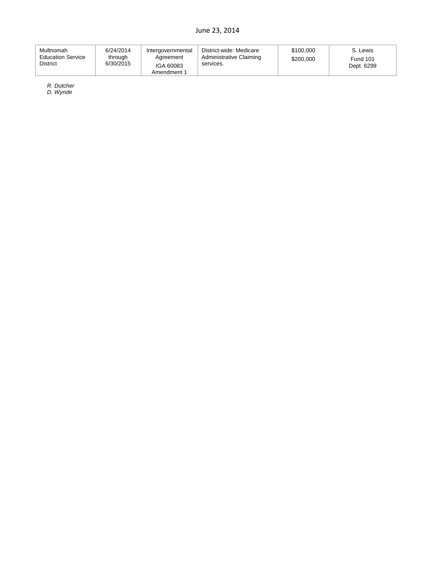| Multnomah<br><b>Education Service</b><br><b>District</b> | 6/24/2014<br>through<br>6/30/2015 | Intergovernmental<br>Agreement<br>IGA 60083<br>Amendment 1 | District-wide: Medicare<br>Administrative Claiming<br>services. | \$100,000<br>\$200,000 | S. Lewis<br><b>Fund 101</b><br>Dept. 6299 |
|----------------------------------------------------------|-----------------------------------|------------------------------------------------------------|-----------------------------------------------------------------|------------------------|-------------------------------------------|
|----------------------------------------------------------|-----------------------------------|------------------------------------------------------------|-----------------------------------------------------------------|------------------------|-------------------------------------------|

*R. Dutcher* 

*D. Wynde*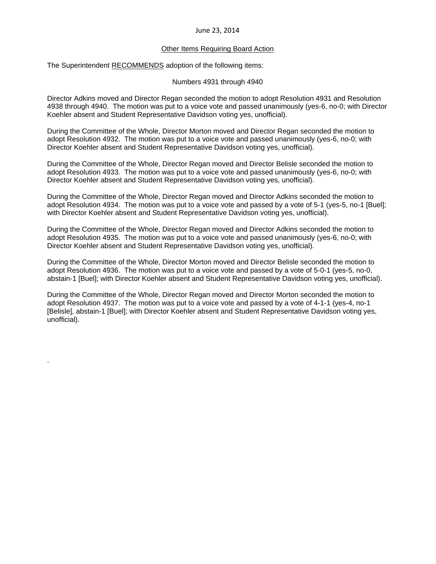#### Other Items Requiring Board Action

The Superintendent RECOMMENDS adoption of the following items:

.

Numbers 4931 through 4940

Director Adkins moved and Director Regan seconded the motion to adopt Resolution 4931 and Resolution 4938 through 4940. The motion was put to a voice vote and passed unanimously (yes-6, no-0; with Director Koehler absent and Student Representative Davidson voting yes, unofficial).

During the Committee of the Whole, Director Morton moved and Director Regan seconded the motion to adopt Resolution 4932. The motion was put to a voice vote and passed unanimously (yes-6, no-0; with Director Koehler absent and Student Representative Davidson voting yes, unofficial).

During the Committee of the Whole, Director Regan moved and Director Belisle seconded the motion to adopt Resolution 4933. The motion was put to a voice vote and passed unanimously (yes-6, no-0; with Director Koehler absent and Student Representative Davidson voting yes, unofficial).

During the Committee of the Whole, Director Regan moved and Director Adkins seconded the motion to adopt Resolution 4934. The motion was put to a voice vote and passed by a vote of 5-1 (yes-5, no-1 [Buel]; with Director Koehler absent and Student Representative Davidson voting yes, unofficial).

During the Committee of the Whole, Director Regan moved and Director Adkins seconded the motion to adopt Resolution 4935. The motion was put to a voice vote and passed unanimously (yes-6, no-0; with Director Koehler absent and Student Representative Davidson voting yes, unofficial).

During the Committee of the Whole, Director Morton moved and Director Belisle seconded the motion to adopt Resolution 4936. The motion was put to a voice vote and passed by a vote of 5-0-1 (yes-5, no-0, abstain-1 [Buel]; with Director Koehler absent and Student Representative Davidson voting yes, unofficial).

During the Committee of the Whole, Director Regan moved and Director Morton seconded the motion to adopt Resolution 4937. The motion was put to a voice vote and passed by a vote of 4-1-1 (yes-4, no-1 [Belisle], abstain-1 [Buel]; with Director Koehler absent and Student Representative Davidson voting yes, unofficial).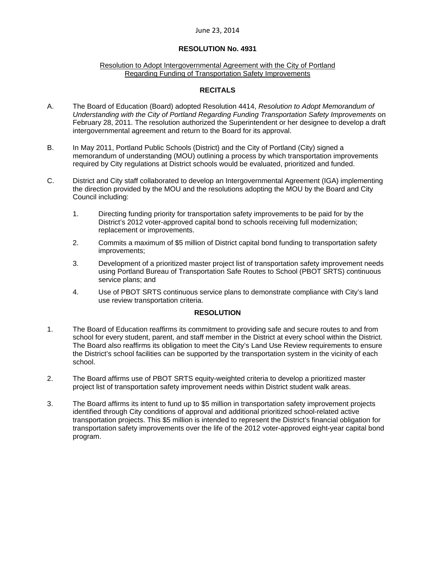#### **RESOLUTION No. 4931**

#### Resolution to Adopt Intergovernmental Agreement with the City of Portland Regarding Funding of Transportation Safety Improvements

# **RECITALS**

- A. The Board of Education (Board) adopted Resolution 4414, *Resolution to Adopt Memorandum of Understanding with the City of Portland Regarding Funding Transportation Safety Improvements* on February 28, 2011. The resolution authorized the Superintendent or her designee to develop a draft intergovernmental agreement and return to the Board for its approval.
- B. In May 2011, Portland Public Schools (District) and the City of Portland (City) signed a memorandum of understanding (MOU) outlining a process by which transportation improvements required by City regulations at District schools would be evaluated, prioritized and funded.
- C. District and City staff collaborated to develop an Intergovernmental Agreement (IGA) implementing the direction provided by the MOU and the resolutions adopting the MOU by the Board and City Council including:
	- 1. Directing funding priority for transportation safety improvements to be paid for by the District's 2012 voter-approved capital bond to schools receiving full modernization; replacement or improvements.
	- 2. Commits a maximum of \$5 million of District capital bond funding to transportation safety improvements;
	- 3. Development of a prioritized master project list of transportation safety improvement needs using Portland Bureau of Transportation Safe Routes to School (PBOT SRTS) continuous service plans; and
	- 4. Use of PBOT SRTS continuous service plans to demonstrate compliance with City's land use review transportation criteria.

#### **RESOLUTION**

- 1. The Board of Education reaffirms its commitment to providing safe and secure routes to and from school for every student, parent, and staff member in the District at every school within the District. The Board also reaffirms its obligation to meet the City's Land Use Review requirements to ensure the District's school facilities can be supported by the transportation system in the vicinity of each school.
- 2. The Board affirms use of PBOT SRTS equity-weighted criteria to develop a prioritized master project list of transportation safety improvement needs within District student walk areas.
- 3. The Board affirms its intent to fund up to \$5 million in transportation safety improvement projects identified through City conditions of approval and additional prioritized school-related active transportation projects. This \$5 million is intended to represent the District's financial obligation for transportation safety improvements over the life of the 2012 voter-approved eight-year capital bond program.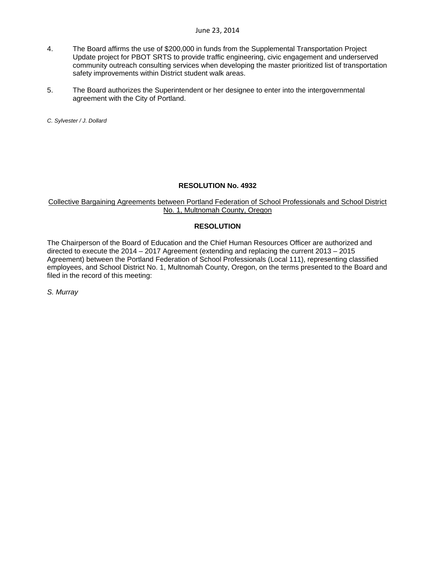- 4. The Board affirms the use of \$200,000 in funds from the Supplemental Transportation Project Update project for PBOT SRTS to provide traffic engineering, civic engagement and underserved community outreach consulting services when developing the master prioritized list of transportation safety improvements within District student walk areas.
- 5. The Board authorizes the Superintendent or her designee to enter into the intergovernmental agreement with the City of Portland.

*C. Sylvester / J. Dollard* 

#### **RESOLUTION No. 4932**

# Collective Bargaining Agreements between Portland Federation of School Professionals and School District No. 1, Multnomah County, Oregon

# **RESOLUTION**

The Chairperson of the Board of Education and the Chief Human Resources Officer are authorized and directed to execute the 2014 – 2017 Agreement (extending and replacing the current 2013 – 2015 Agreement) between the Portland Federation of School Professionals (Local 111), representing classified employees, and School District No. 1, Multnomah County, Oregon, on the terms presented to the Board and filed in the record of this meeting:

*S. Murray*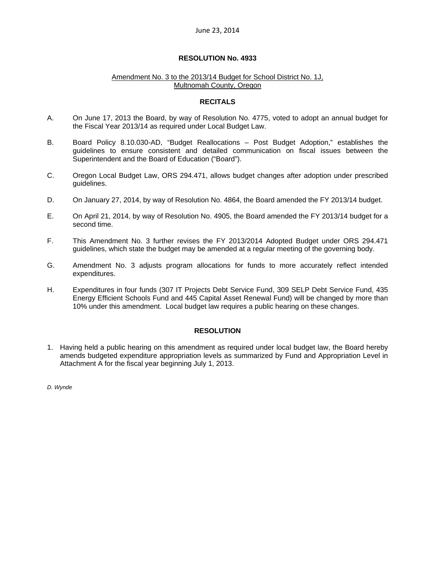### **RESOLUTION No. 4933**

#### Amendment No. 3 to the 2013/14 Budget for School District No. 1J, Multnomah County, Oregon

#### **RECITALS**

- A. On June 17, 2013 the Board, by way of Resolution No. 4775, voted to adopt an annual budget for the Fiscal Year 2013/14 as required under Local Budget Law.
- B. Board Policy 8.10.030-AD, "Budget Reallocations Post Budget Adoption," establishes the guidelines to ensure consistent and detailed communication on fiscal issues between the Superintendent and the Board of Education ("Board").
- C. Oregon Local Budget Law, ORS 294.471, allows budget changes after adoption under prescribed guidelines.
- D. On January 27, 2014, by way of Resolution No. 4864, the Board amended the FY 2013/14 budget.
- E. On April 21, 2014, by way of Resolution No. 4905, the Board amended the FY 2013/14 budget for a second time.
- F. This Amendment No. 3 further revises the FY 2013/2014 Adopted Budget under ORS 294.471 guidelines, which state the budget may be amended at a regular meeting of the governing body.
- G. Amendment No. 3 adjusts program allocations for funds to more accurately reflect intended expenditures.
- H. Expenditures in four funds (307 IT Projects Debt Service Fund, 309 SELP Debt Service Fund, 435 Energy Efficient Schools Fund and 445 Capital Asset Renewal Fund) will be changed by more than 10% under this amendment. Local budget law requires a public hearing on these changes.

# **RESOLUTION**

- 1. Having held a public hearing on this amendment as required under local budget law, the Board hereby amends budgeted expenditure appropriation levels as summarized by Fund and Appropriation Level in Attachment A for the fiscal year beginning July 1, 2013.
- *D. Wynde*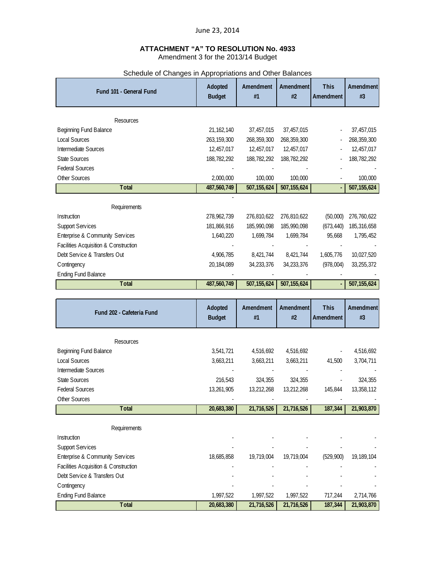# **ATTACHMENT "A" TO RESOLUTION No. 4933**  Amendment 3 for the 2013/14 Budget

|                                       |               | Scriedule of Crianges in Appropriations and Other Balances |               |             |               |
|---------------------------------------|---------------|------------------------------------------------------------|---------------|-------------|---------------|
| Fund 101 - General Fund               | Adopted       | Amendment                                                  | Amendment     | <b>This</b> | Amendment     |
|                                       | <b>Budget</b> | #1                                                         | #2            | Amendment   | $\#3$         |
|                                       |               |                                                            |               |             |               |
| Resources                             |               |                                                            |               |             |               |
| Beginning Fund Balance                | 21, 162, 140  | 37,457,015                                                 | 37,457,015    |             | 37,457,015    |
| Local Sources                         | 263, 159, 300 | 268, 359, 300                                              | 268, 359, 300 |             | 268, 359, 300 |
| <b>Intermediate Sources</b>           | 12,457,017    | 12,457,017                                                 | 12,457,017    |             | 12,457,017    |
| State Sources                         | 188,782,292   | 188,782,292                                                | 188,782,292   |             | 188,782,292   |
| <b>Federal Sources</b>                |               |                                                            |               |             |               |
| Other Sources                         | 2,000,000     | 100,000                                                    | 100,000       |             | 100,000       |
| Total                                 | 487,560,749   | 507, 155, 624                                              | 507, 155, 624 |             | 507, 155, 624 |
|                                       |               |                                                            |               |             |               |
| Requirements                          |               |                                                            |               |             |               |
| Instruction                           | 278, 962, 739 | 276,810,622                                                | 276,810,622   | (50,000)    | 276,760,622   |
| <b>Support Services</b>               | 181,866,916   | 185,990,098                                                | 185,990,098   | (673, 440)  | 185,316,658   |
| Enterprise & Community Services       | 1,640,220     | 1,699,784                                                  | 1,699,784     | 95,668      | 1,795,452     |
| Facilities Acquisition & Construction |               |                                                            |               |             |               |
| Debt Service & Transfers Out          | 4,906,785     | 8,421,744                                                  | 8,421,744     | 1,605,776   | 10,027,520    |
| Contingency                           | 20,184,089    | 34,233,376                                                 | 34,233,376    | (978,004)   | 33, 255, 372  |
| <b>Ending Fund Balance</b>            |               |                                                            |               |             |               |
| <b>T</b> otal                         | 487,560,749   | 507,155,624                                                | 507, 155, 624 |             | 507, 155, 624 |
|                                       |               |                                                            |               |             |               |
|                                       |               |                                                            |               |             |               |
|                                       | Adopted       | Amendment                                                  | Amendment     | <b>This</b> | Amendment     |
| Fund 202 - Cafeteria Fund             | <b>Budget</b> | #1                                                         | #2            | Amendment   | #3            |
|                                       |               |                                                            |               |             |               |
| Resources                             |               |                                                            |               |             |               |
| <b>Beginning Fund Balance</b>         | 3,541,721     | 4,516,692                                                  | 4,516,692     |             | 4,516,692     |
| <b>Local Sources</b>                  | 3,663,211     | 3,663,211                                                  | 3,663,211     | 41,500      | 3,704,711     |
| Intermediate Sources                  |               |                                                            |               |             |               |
| <b>State Sources</b>                  | 216,543       | 324,355                                                    | 324,355       |             | 324,355       |
| <b>Federal Sources</b>                | 13,261,905    | 13,212,268                                                 | 13,212,268    | 145,844     | 13,358,112    |
| Other Sources                         |               |                                                            |               |             |               |
| <b>T</b> otal                         | 20,683,380    | 21,716,526                                                 | 21,716,526    | 187,344     | 21,903,870    |
|                                       |               |                                                            |               |             |               |
| Requirements                          |               |                                                            |               |             |               |
| Instruction                           |               |                                                            |               |             |               |
| <b>Support Services</b>               |               |                                                            |               |             |               |
| Enterprise & Community Services       | 18,685,858    | 19,719,004                                                 | 19,719,004    | (529, 900)  | 19,189,104    |
| Facilities Acquisition & Construction |               |                                                            |               |             |               |
| Debt Service & Transfers Out          |               |                                                            |               |             |               |
| Contingency                           |               |                                                            |               |             |               |
| <b>Ending Fund Balance</b>            | 1,997,522     | 1,997,522                                                  | 1,997,522     | 717,244     | 2,714,766     |

# Schedule of Changes in Appropriations and Other Balances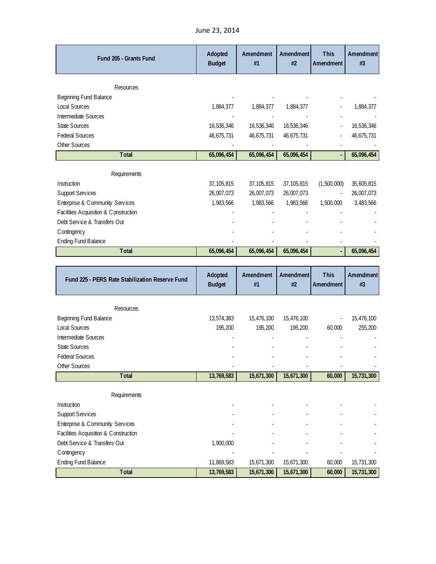June 23, 2014

| Fund 205 - Grants Fund                                     | Adopted                  | Amendment                | <b>Amendment</b>         | <b>This</b>              | Amendment                |
|------------------------------------------------------------|--------------------------|--------------------------|--------------------------|--------------------------|--------------------------|
|                                                            | <b>Budget</b>            | #1                       | #2                       | Amendment                | #3                       |
|                                                            |                          |                          |                          |                          |                          |
| Resources                                                  |                          |                          |                          |                          |                          |
| Beginning Fund Balance<br><b>Local Sources</b>             |                          |                          |                          |                          |                          |
|                                                            | 1,884,377                | 1,884,377                | 1,884,377                |                          | 1,884,377                |
| Intermediate Sources<br><b>State Sources</b>               |                          |                          |                          |                          |                          |
| <b>Federal Sources</b>                                     | 16,536,346<br>46,675,731 | 16,536,346<br>46,675,731 | 16,536,346<br>46,675,731 |                          | 16,536,346<br>46,675,731 |
| Other Sources                                              |                          |                          |                          |                          |                          |
| <b>Total</b>                                               | 65,096,454               | 65,096,454               | 65,096,454               |                          | 65,096,454               |
|                                                            |                          |                          |                          |                          |                          |
| Requirements                                               |                          |                          |                          |                          |                          |
| Instruction                                                | 37,105,815               | 37, 105, 815             | 37,105,815               | (1,500,000)              | 35,605,815               |
| <b>Support Services</b>                                    | 26,007,073               | 26,007,073               | 26,007,073               | $\overline{\phantom{a}}$ | 26,007,073               |
| Enterprise & Community Services                            | 1,983,566                | 1,983,566                | 1,983,566                | 1,500,000                | 3,483,566                |
| Facilities Acquisition & Construction                      |                          |                          |                          |                          |                          |
| Debt Service & Transfers Out                               |                          |                          |                          |                          |                          |
| Contingency                                                |                          |                          |                          |                          |                          |
| <b>Ending Fund Balance</b>                                 |                          |                          |                          |                          |                          |
|                                                            |                          |                          |                          |                          |                          |
| <b>Total</b>                                               | 65,096,454               | 65,096,454               | 65,096,454               |                          | 65,096,454               |
|                                                            |                          |                          |                          |                          |                          |
|                                                            |                          |                          | Amendment                | <b>This</b>              |                          |
| Fund 225 - PERS Rate Stabilization Reserve Fund            | Adopted<br><b>Budget</b> | Amendment<br>#1          | #2                       | Amendment                | Amendment<br>$\#3$       |
|                                                            |                          |                          |                          |                          |                          |
| Resources                                                  |                          |                          |                          |                          |                          |
| Beginning Fund Balance                                     | 13,574,383               | 15,476,100               | 15,476,100               |                          | 15,476,100               |
| <b>Local Sources</b>                                       | 195,200                  | 195,200                  | 195,200                  | 60,000                   | 255,200                  |
| Intermediate Sources                                       |                          |                          |                          |                          |                          |
| State Sources                                              |                          |                          |                          |                          |                          |
| <b>Federal Sources</b>                                     |                          |                          |                          |                          |                          |
| Other Sources                                              |                          |                          |                          |                          |                          |
| Total                                                      | 13,769,583               | 15,671,300               | 15,671,300               | 60,000                   | 15,731,300               |
|                                                            |                          |                          |                          |                          |                          |
| Requirements                                               |                          |                          |                          |                          |                          |
| Instruction                                                |                          |                          |                          |                          |                          |
| <b>Support Services</b><br>Enterprise & Community Services |                          |                          |                          |                          |                          |

Debt Service & Transfers Out 1,900,000 and 1,900,000 Contingency and the state of the state of the state of the state of the state of the state of the state of the state of the state of the state of the state of the state of the state of the state of the state of the state o Ending Fund Balance 11,869,583 15,671,300 15,671,300 60,000 15,731,300

Total 13,769,583 15,671,300 15,671,300 60,000 15,731,300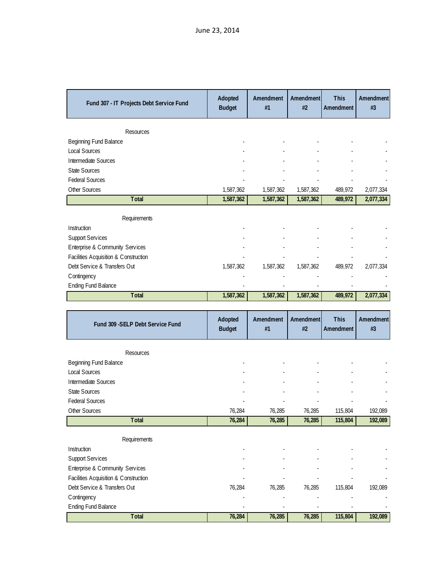| Fund 307 - IT Projects Debt Service Fund    | Adopted<br><b>Budget</b> | Amendment<br>#1 | Amendment<br>#2 | <b>This</b><br>Amendment | Amendment<br>#3 |
|---------------------------------------------|--------------------------|-----------------|-----------------|--------------------------|-----------------|
| Resources                                   |                          |                 |                 |                          |                 |
| Beginning Fund Balance                      |                          |                 |                 |                          |                 |
| Local Sources                               |                          |                 |                 |                          |                 |
| Intermediate Sources                        |                          |                 |                 |                          |                 |
| <b>State Sources</b>                        |                          |                 |                 |                          |                 |
| <b>Federal Sources</b>                      |                          |                 |                 |                          |                 |
| Other Sources                               | 1,587,362                | 1,587,362       | 1,587,362       | 489,972                  | 2,077,334       |
| <b>Total</b>                                | 1,587,362                | 1,587,362       | 1,587,362       | 489,972                  | 2,077,334       |
|                                             |                          |                 |                 |                          |                 |
| Requirements                                |                          |                 |                 |                          |                 |
| Instruction                                 |                          |                 |                 |                          |                 |
| <b>Support Services</b>                     |                          |                 |                 |                          |                 |
| Enterprise & Community Services             |                          |                 |                 |                          |                 |
| Facilities Acquisition & Construction       |                          |                 |                 |                          |                 |
| Debt Service & Transfers Out                | 1,587,362                | 1,587,362       | 1,587,362       | 489,972                  | 2,077,334       |
| Contingency                                 |                          |                 |                 |                          |                 |
| <b>Ending Fund Balance</b>                  |                          |                 |                 |                          |                 |
| Total                                       | 1,587,362                | 1,587,362       | 1,587,362       | 489,972                  | 2,077,334       |
|                                             |                          |                 |                 |                          |                 |
| Fund 309 - SELP Debt Service Fund           | Adopted                  | Amendment       | Amendment       | <b>This</b>              | Amendment       |
|                                             | <b>Budget</b>            | #1              | #2              | Amendment                | #3              |
|                                             |                          |                 |                 |                          |                 |
| Resources<br>Beginning Fund Balance         |                          |                 |                 |                          |                 |
| Local Sources                               |                          |                 |                 |                          |                 |
| Intermediate Sources                        |                          |                 |                 |                          |                 |
| <b>State Sources</b>                        |                          |                 |                 |                          |                 |
| <b>Federal Sources</b>                      |                          |                 |                 |                          |                 |
| Other Sources                               | 76,284                   | 76,285          | 76,285          | 115,804                  | 192,089         |
| Total                                       | 76,284                   | 76,285          | 76,285          | 115,804                  | 192,089         |
| Requirements                                |                          |                 |                 |                          |                 |
| Instruction                                 |                          |                 |                 |                          |                 |
|                                             |                          |                 |                 |                          |                 |
|                                             |                          |                 |                 |                          |                 |
| <b>Support Services</b>                     |                          |                 |                 |                          |                 |
| Enterprise & Community Services             |                          |                 |                 |                          |                 |
| Facilities Acquisition & Construction       |                          |                 |                 |                          |                 |
| Debt Service & Transfers Out<br>Contingency | 76,284                   | 76,285          | 76,285          | 115,804                  | 192,089         |

**Total 76,284 76,285 76,285 115,804 192,089**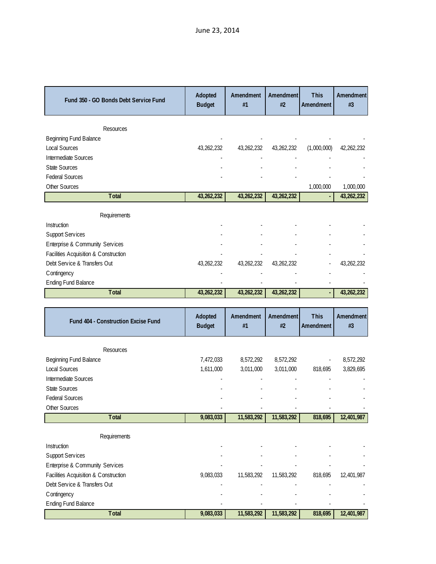| Fund 350 - GO Bonds Debt Service Fund     | Adopted<br><b>Budget</b> | Amendment<br>#1 | Amendment<br>#2 | <b>This</b><br>Amendment | Amendment<br>#3 |
|-------------------------------------------|--------------------------|-----------------|-----------------|--------------------------|-----------------|
| Resources                                 |                          |                 |                 |                          |                 |
| Beginning Fund Balance                    |                          |                 |                 |                          |                 |
| <b>Local Sources</b>                      | 43,262,232               | 43,262,232      | 43,262,232      | (1,000,000)              | 42,262,232      |
| Intermediate Sources                      |                          |                 |                 |                          |                 |
| <b>State Sources</b>                      |                          |                 |                 |                          |                 |
| <b>Federal Sources</b>                    |                          |                 |                 |                          |                 |
| Other Sources                             |                          |                 |                 | 1,000,000                | 1,000,000       |
| <b>Total</b>                              | 43,262,232               | 43,262,232      | 43,262,232      |                          | 43,262,232      |
| Requirements                              |                          |                 |                 |                          |                 |
| Instruction                               |                          |                 |                 |                          |                 |
| <b>Support Services</b>                   |                          |                 |                 |                          |                 |
| Enterprise & Community Services           |                          |                 |                 |                          |                 |
| Facilities Acquisition & Construction     |                          |                 |                 |                          |                 |
| Debt Service & Transfers Out              | 43,262,232               | 43,262,232      | 43,262,232      |                          | 43,262,232      |
| C ontingency                              |                          |                 |                 |                          |                 |
| <b>Ending Fund Balance</b>                |                          |                 |                 |                          |                 |
| <b>Total</b>                              | 43,262,232               | 43,262,232      | 43,262,232      |                          | 43,262,232      |
|                                           |                          |                 |                 |                          |                 |
|                                           |                          |                 |                 |                          |                 |
| Fund 404 - Construction Excise Fund       | Adopted<br><b>Budget</b> | Amendment<br>#1 | Amendment<br>#2 | <b>This</b><br>Amendment | Amendment<br>#3 |
|                                           |                          |                 |                 |                          |                 |
| Resources                                 |                          |                 |                 |                          |                 |
| Beginning Fund Balance                    | 7,472,033                | 8,572,292       | 8,572,292       |                          | 8,572,292       |
| <b>Local Sources</b>                      | 1,611,000                | 3,011,000       | 3,011,000       | 818,695                  | 3,829,695       |
| Intermediate Sources                      |                          |                 |                 |                          |                 |
| <b>State Sources</b>                      |                          |                 |                 |                          |                 |
| <b>Federal Sources</b>                    |                          |                 |                 |                          |                 |
| Other Sources<br>Total                    | 9,083,033                | 11,583,292      | 11,583,292      | 818,695                  | 12,401,987      |
|                                           |                          |                 |                 |                          |                 |
| Requirements                              |                          |                 |                 |                          |                 |
| Instruction                               |                          |                 |                 |                          |                 |
| <b>Support Services</b>                   |                          |                 |                 |                          |                 |
| Enterprise & Community Services           |                          |                 |                 |                          |                 |
| Facilities Acquisition & Construction     | 9,083,033                | 11,583,292      | 11,583,292      | 818,695                  | 12,401,987      |
| Debt Service & Transfers Out              |                          |                 |                 |                          |                 |
| Contingency<br><b>Ending Fund Balance</b> |                          |                 |                 |                          |                 |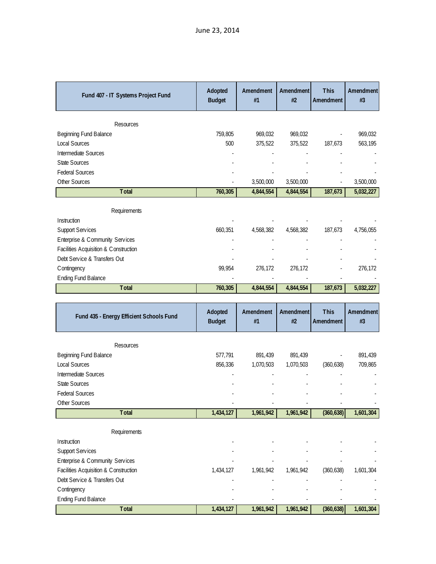| Fund 407 - IT Systems Project Fund                                    | Adopted<br><b>Budget</b> | Amendment<br>#1 | Amendment<br>#2 | <b>This</b><br>Amendment | Amendment<br>#3 |
|-----------------------------------------------------------------------|--------------------------|-----------------|-----------------|--------------------------|-----------------|
| Resources                                                             |                          |                 |                 |                          |                 |
| Beginning Fund Balance                                                | 759,805                  | 969,032         | 969,032         |                          | 969,032         |
| <b>Local Sources</b>                                                  | 500                      | 375,522         | 375,522         | 187,673                  | 563,195         |
| Intermediate Sources                                                  |                          |                 |                 |                          |                 |
| State Sources                                                         |                          |                 |                 |                          |                 |
| <b>Federal Sources</b>                                                |                          |                 |                 |                          |                 |
| Other Sources                                                         |                          | 3,500,000       | 3,500,000       |                          | 3,500,000       |
| Total                                                                 | 760,305                  | 4,844,554       | 4,844,554       | 187,673                  | 5,032,227       |
| Requirements                                                          |                          |                 |                 |                          |                 |
| Instruction                                                           |                          |                 |                 |                          |                 |
| <b>Support Services</b>                                               | 660,351                  | 4,568,382       | 4,568,382       | 187,673                  | 4,756,055       |
| Enterprise & Community Services                                       |                          |                 |                 |                          |                 |
| Facilities Acquisition & Construction                                 |                          |                 |                 |                          |                 |
| Debt Service & Transfers Out                                          |                          |                 |                 |                          |                 |
| C ontingency                                                          | 99,954                   | 276,172         | 276,172         |                          | 276,172         |
| <b>Ending Fund Balance</b>                                            |                          |                 |                 |                          |                 |
| <b>Total</b>                                                          | 760,305                  | 4,844,554       | 4,844,554       | 187,673                  | 5,032,227       |
|                                                                       |                          |                 |                 |                          |                 |
|                                                                       |                          |                 |                 |                          |                 |
| Fund 435 - Energy Efficient Schools Fund                              | Adopted<br><b>Budget</b> | Amendment<br>#1 | Amendment<br>#2 | <b>This</b><br>Amendment | Amendment<br>#3 |
|                                                                       |                          |                 |                 |                          |                 |
| Resources                                                             |                          |                 |                 |                          |                 |
| Beginning Fund Balance                                                | 577,791                  | 891,439         | 891,439         |                          | 891,439         |
| <b>Local Sources</b>                                                  | 856,336                  | 1,070,503       | 1,070,503       | (360, 638)               | 709,865         |
| Intermediate Sources<br>State Sources                                 |                          |                 |                 |                          |                 |
| <b>Federal Sources</b>                                                |                          |                 |                 |                          |                 |
| Other Sources                                                         |                          |                 |                 |                          |                 |
| Total                                                                 | 1,434,127                | 1,961,942       | 1,961,942       | (360, 638)               | 1,601,304       |
|                                                                       |                          |                 |                 |                          |                 |
| Requirements                                                          |                          |                 |                 |                          |                 |
| Instruction                                                           |                          |                 |                 |                          |                 |
| <b>Support Services</b>                                               |                          |                 |                 |                          |                 |
| Enterprise & Community Services                                       |                          |                 |                 |                          |                 |
| Facilities Acquisition & Construction<br>Debt Service & Transfers Out | 1,434,127                | 1,961,942       | 1,961,942       | (360, 638)               | 1,601,304       |
| Contingency                                                           |                          |                 |                 |                          |                 |
| <b>Ending Fund Balance</b>                                            |                          |                 |                 |                          |                 |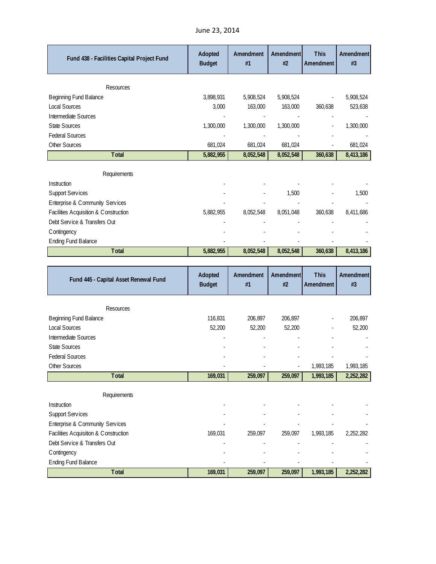| Fund 438 - Facilities Capital Project Fund | Adopted<br><b>Budget</b> | Amendment<br>#1 | Amendment<br>#2 | <b>This</b><br>Amendment | <b>Amendment</b><br>#3 |
|--------------------------------------------|--------------------------|-----------------|-----------------|--------------------------|------------------------|
| Resources                                  |                          |                 |                 |                          |                        |
| Beginning Fund Balance                     | 3,898,931                | 5,908,524       | 5,908,524       |                          | 5,908,524              |
| Local Sources                              | 3,000                    | 163,000         | 163,000         | 360,638                  | 523,638                |
| Intermediate Sources                       |                          |                 |                 |                          |                        |
| <b>State Sources</b>                       | 1,300,000                | 1,300,000       | 1,300,000       |                          | 1,300,000              |
| <b>Federal Sources</b>                     |                          |                 |                 |                          |                        |
| Other Sources                              | 681,024                  | 681,024         | 681,024         |                          | 681,024                |
| <b>T</b> otal                              | 5,882,955                | 8,052,548       | 8,052,548       | 360,638                  | 8,413,186              |
| Requirements                               |                          |                 |                 |                          |                        |
| Instruction                                |                          |                 |                 |                          |                        |
| <b>Support Services</b>                    |                          |                 | 1,500           |                          | 1,500                  |
| Enterprise & Community Services            |                          |                 |                 |                          |                        |
| Facilities Acquisition & Construction      | 5,882,955                | 8,052,548       | 8,051,048       | 360,638                  | 8,411,686              |
| Debt Service & Transfers Out               |                          |                 |                 |                          |                        |
| Contingency                                |                          |                 |                 |                          |                        |
| <b>Ending Fund Balance</b>                 |                          |                 |                 |                          |                        |
| <b>T</b> otal                              | 5,882,955                | 8,052,548       | 8,052,548       | 360,638                  | 8,413,186              |

|  |  | June 23, 2014 |
|--|--|---------------|
|--|--|---------------|

| Fund 445 - Capital Asset Renewal Fund | Adopted<br><b>Budget</b> | Amendment<br>#1 | Amendment<br>#2 | <b>This</b><br>Amendment | Amendment<br>#3 |
|---------------------------------------|--------------------------|-----------------|-----------------|--------------------------|-----------------|
| Resources                             |                          |                 |                 |                          |                 |
| Beginning Fund Balance                | 116,831                  | 206,897         | 206,897         |                          | 206,897         |
| <b>Local Sources</b>                  | 52,200                   | 52,200          | 52,200          |                          | 52,200          |
| Intermediate Sources                  |                          |                 |                 |                          |                 |
| <b>State Sources</b>                  |                          |                 |                 |                          |                 |
| <b>Federal Sources</b>                |                          |                 |                 |                          |                 |
| Other Sources                         |                          |                 |                 | 1,993,185                | 1,993,185       |
| Total                                 | 169,031                  | 259,097         | 259,097         | 1,993,185                | 2,252,282       |
| Requirements                          |                          |                 |                 |                          |                 |
| Instruction                           |                          |                 |                 |                          |                 |
| <b>Support Services</b>               |                          |                 |                 |                          |                 |
| Enterprise & Community Services       |                          |                 |                 |                          |                 |
| Facilities Acquisition & Construction | 169,031                  | 259,097         | 259,097         | 1,993,185                | 2,252,282       |
| Debt Service & Transfers Out          |                          |                 |                 |                          |                 |
| C ontingency                          |                          |                 |                 |                          |                 |
| <b>Ending Fund Balance</b>            |                          |                 |                 |                          |                 |
| <b>T</b> otal                         | 169,031                  | 259,097         | 259,097         | 1,993,185                | 2,252,282       |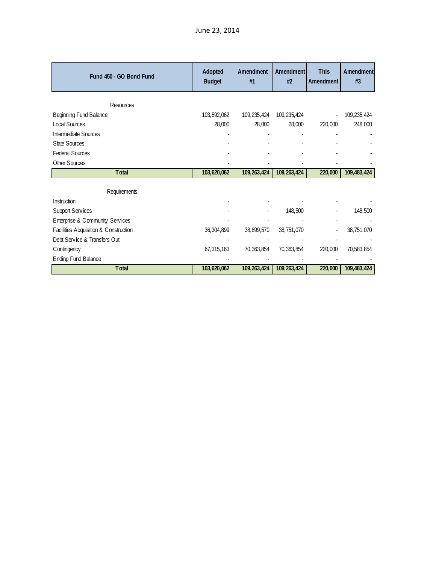| Fund 450 - GO Bond Fund               | Adopted<br><b>Budget</b> | Amendment<br>#1 | Amendment<br>#2 | <b>This</b><br>Amendment | Amendment<br>#3 |
|---------------------------------------|--------------------------|-----------------|-----------------|--------------------------|-----------------|
| Resources                             |                          |                 |                 |                          |                 |
| Beginning Fund Balance                | 103,592,062              | 109,235,424     | 109,235,424     |                          | 109,235,424     |
| Local Sources                         | 28,000                   | 28,000          | 28,000          | 220,000                  | 248,000         |
| Intermediate Sources                  |                          |                 |                 |                          |                 |
| <b>State Sources</b>                  |                          |                 |                 |                          |                 |
| <b>Federal Sources</b>                |                          |                 |                 |                          |                 |
| Other Sources                         |                          |                 |                 |                          |                 |
| <b>Total</b>                          | 103,620,062              | 109,263,424     | 109,263,424     | 220,000                  | 109,483,424     |
| Requirements                          |                          |                 |                 |                          |                 |
| Instruction                           |                          |                 |                 |                          |                 |
| Support Services                      |                          |                 | 148,500         |                          | 148,500         |
| Enterprise & Community Services       |                          |                 |                 |                          |                 |
| Facilities Acquisition & Construction | 36, 304, 899             | 38,899,570      | 38,751,070      |                          | 38,751,070      |
| Debt Service & Transfers Out          |                          |                 |                 |                          |                 |
| Contingency                           | 67,315,163               | 70,363,854      | 70,363,854      | 220,000                  | 70,583,854      |
| <b>Ending Fund Balance</b>            |                          |                 |                 |                          |                 |
| <b>Total</b>                          | 103,620,062              | 109,263,424     | 109,263,424     | 220,000                  | 109,483,424     |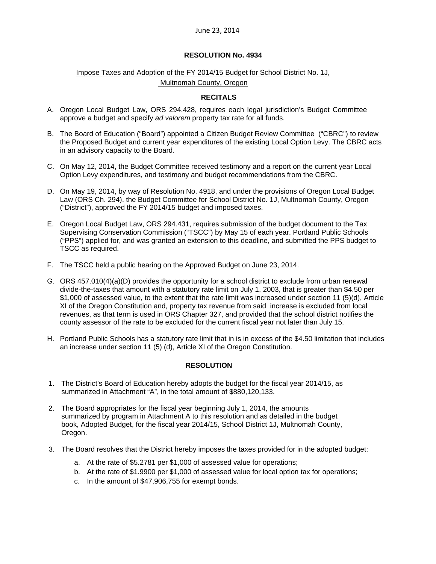# **RESOLUTION No. 4934**

# Impose Taxes and Adoption of the FY 2014/15 Budget for School District No. 1J, Multnomah County, Oregon

# **RECITALS**

- A. Oregon Local Budget Law, ORS 294.428, requires each legal jurisdiction's Budget Committee approve a budget and specify *ad valorem* property tax rate for all funds.
- B. The Board of Education ("Board") appointed a Citizen Budget Review Committee ("CBRC") to review the Proposed Budget and current year expenditures of the existing Local Option Levy. The CBRC acts in an advisory capacity to the Board.
- C. On May 12, 2014, the Budget Committee received testimony and a report on the current year Local Option Levy expenditures, and testimony and budget recommendations from the CBRC.
- D. On May 19, 2014, by way of Resolution No. 4918, and under the provisions of Oregon Local Budget Law (ORS Ch. 294), the Budget Committee for School District No. 1J, Multnomah County, Oregon ("District"), approved the FY 2014/15 budget and imposed taxes.
- E. Oregon Local Budget Law, ORS 294.431, requires submission of the budget document to the Tax Supervising Conservation Commission ("TSCC") by May 15 of each year. Portland Public Schools ("PPS") applied for, and was granted an extension to this deadline, and submitted the PPS budget to TSCC as required.
- F. The TSCC held a public hearing on the Approved Budget on June 23, 2014.
- G. ORS 457.010(4)(a)(D) provides the opportunity for a school district to exclude from urban renewal divide-the-taxes that amount with a statutory rate limit on July 1, 2003, that is greater than \$4.50 per \$1,000 of assessed value, to the extent that the rate limit was increased under section 11 (5)(d), Article XI of the Oregon Constitution and, property tax revenue from said increase is excluded from local revenues, as that term is used in ORS Chapter 327, and provided that the school district notifies the county assessor of the rate to be excluded for the current fiscal year not later than July 15.
- H. Portland Public Schools has a statutory rate limit that in is in excess of the \$4.50 limitation that includes an increase under section 11 (5) (d), Article XI of the Oregon Constitution.

# **RESOLUTION**

- 1. The District's Board of Education hereby adopts the budget for the fiscal year 2014/15, as summarized in Attachment "A", in the total amount of \$880,120,133.
- 2. The Board appropriates for the fiscal year beginning July 1, 2014, the amounts summarized by program in Attachment A to this resolution and as detailed in the budget book, Adopted Budget, for the fiscal year 2014/15, School District 1J, Multnomah County, Oregon.
- 3. The Board resolves that the District hereby imposes the taxes provided for in the adopted budget:
	- a. At the rate of \$5.2781 per \$1,000 of assessed value for operations;
	- b. At the rate of \$1.9900 per \$1,000 of assessed value for local option tax for operations;
	- c. In the amount of \$47,906,755 for exempt bonds.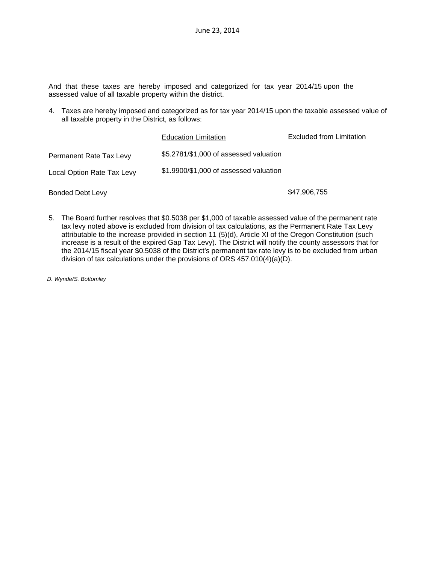And that these taxes are hereby imposed and categorized for tax year 2014/15 upon the assessed value of all taxable property within the district.

4. Taxes are hereby imposed and categorized as for tax year 2014/15 upon the taxable assessed value of all taxable property in the District, as follows:

|                            | <b>Education Limitation</b>            | <b>Excluded from Limitation</b> |
|----------------------------|----------------------------------------|---------------------------------|
| Permanent Rate Tax Levy    | \$5.2781/\$1,000 of assessed valuation |                                 |
| Local Option Rate Tax Levy | \$1.9900/\$1,000 of assessed valuation |                                 |
| <b>Bonded Debt Levy</b>    |                                        | \$47,906,755                    |

5. The Board further resolves that \$0.5038 per \$1,000 of taxable assessed value of the permanent rate tax levy noted above is excluded from division of tax calculations, as the Permanent Rate Tax Levy attributable to the increase provided in section 11 (5)(d), Article XI of the Oregon Constitution (such increase is a result of the expired Gap Tax Levy). The District will notify the county assessors that for the 2014/15 fiscal year \$0.5038 of the District's permanent tax rate levy is to be excluded from urban division of tax calculations under the provisions of ORS 457.010(4)(a)(D).

*D. Wynde/S. Bottomley*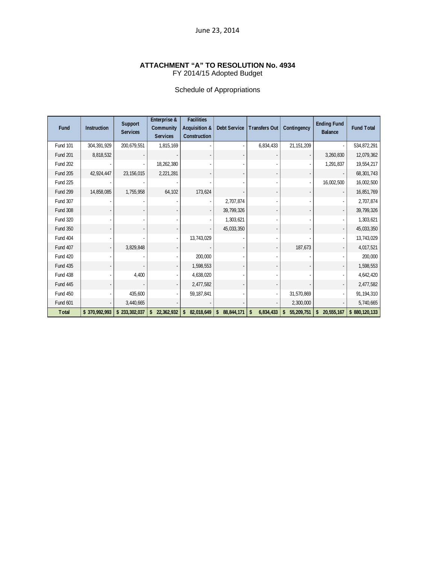#### **ATTACHMENT "A" TO RESOLUTION No. 4934**  FY 2014/15 Adopted Budget

# Schedule of Appropriations

| Fund            | <b>Instruction</b> | Support<br><b>Services</b> | Enterprise &<br>Community<br><b>Services</b> | <b>Facilities</b><br>Acquisition &<br>Construction | <b>Debt Service</b>        | Transfers Out   | Contingency      | <b>Ending Fund</b><br><b>Balance</b> | <b>Fund Total</b> |
|-----------------|--------------------|----------------------------|----------------------------------------------|----------------------------------------------------|----------------------------|-----------------|------------------|--------------------------------------|-------------------|
| <b>Fund 101</b> | 304,391,929        | 200,679,551                | 1,815,169                                    |                                                    |                            | 6,834,433       | 21,151,209       |                                      | 534,872,291       |
| <b>Fund 201</b> | 8,818,532          |                            |                                              |                                                    |                            |                 |                  | 3,260,830                            | 12,079,362        |
| <b>Fund 202</b> |                    |                            | 18,262,380                                   |                                                    |                            |                 |                  | 1,291,837                            | 19,554,217        |
| <b>Fund 205</b> | 42,924,447         | 23, 156, 015               | 2,221,281                                    |                                                    |                            |                 |                  |                                      | 68,301,743        |
| <b>Fund 225</b> |                    |                            |                                              |                                                    |                            |                 |                  | 16,002,500                           | 16,002,500        |
| <b>Fund 299</b> | 14,858,085         | 1,755,958                  | 64,102                                       | 173,624                                            |                            |                 |                  |                                      | 16,851,769        |
| Fund 307        |                    |                            |                                              |                                                    | 2,707,874                  |                 |                  |                                      | 2,707,874         |
| <b>Fund 308</b> |                    |                            |                                              |                                                    | 39,799,326                 |                 |                  |                                      | 39,799,326        |
| <b>Fund 320</b> |                    |                            |                                              |                                                    | 1,303,621                  |                 |                  |                                      | 1,303,621         |
| <b>Fund 350</b> |                    |                            |                                              |                                                    | 45,033,350                 |                 |                  |                                      | 45,033,350        |
| <b>Fund 404</b> |                    |                            |                                              | 13,743,029                                         |                            |                 |                  |                                      | 13,743,029        |
| <b>Fund 407</b> |                    | 3,829,848                  |                                              |                                                    |                            |                 | 187,673          |                                      | 4,017,521         |
| <b>Fund 420</b> |                    |                            |                                              | 200,000                                            |                            |                 |                  |                                      | 200,000           |
| <b>Fund 435</b> |                    |                            |                                              | 1,598,553                                          |                            |                 |                  |                                      | 1,598,553         |
| <b>Fund 438</b> |                    | 4,400                      |                                              | 4,638,020                                          |                            |                 |                  |                                      | 4,642,420         |
| <b>Fund 445</b> |                    |                            |                                              | 2,477,582                                          |                            |                 |                  |                                      | 2,477,582         |
| <b>Fund 450</b> |                    | 435,600                    |                                              | 59, 187, 841                                       |                            |                 | 31,570,869       |                                      | 91,194,310        |
| Fund 601        |                    | 3,440,665                  |                                              |                                                    |                            |                 | 2,300,000        |                                      | 5,740,665         |
| Total           | \$370,992,993      | \$233,302,037              | 22,362,932<br>\$                             | 82,018,649<br>\$                                   | $\mathsf{s}$<br>88,844,171 | 6,834,433<br>\$ | \$<br>55,209,751 | \$<br>20,555,167                     | \$880,120,133     |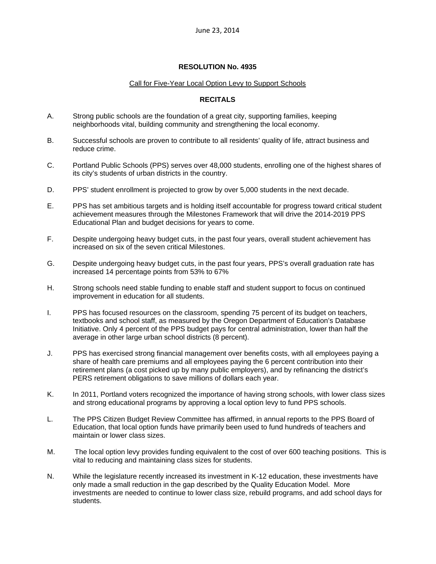# **RESOLUTION No. 4935**

#### Call for Five-Year Local Option Levy to Support Schools

### **RECITALS**

- A. Strong public schools are the foundation of a great city, supporting families, keeping neighborhoods vital, building community and strengthening the local economy.
- B. Successful schools are proven to contribute to all residents' quality of life, attract business and reduce crime.
- C. Portland Public Schools (PPS) serves over 48,000 students, enrolling one of the highest shares of its city's students of urban districts in the country.
- D. PPS' student enrollment is projected to grow by over 5,000 students in the next decade.
- E. PPS has set ambitious targets and is holding itself accountable for progress toward critical student achievement measures through the Milestones Framework that will drive the 2014-2019 PPS Educational Plan and budget decisions for years to come.
- F. Despite undergoing heavy budget cuts, in the past four years, overall student achievement has increased on six of the seven critical Milestones.
- G. Despite undergoing heavy budget cuts, in the past four years, PPS's overall graduation rate has increased 14 percentage points from 53% to 67%
- H. Strong schools need stable funding to enable staff and student support to focus on continued improvement in education for all students.
- I. PPS has focused resources on the classroom, spending 75 percent of its budget on teachers, textbooks and school staff, as measured by the Oregon Department of Education's Database Initiative. Only 4 percent of the PPS budget pays for central administration, lower than half the average in other large urban school districts (8 percent).
- J. PPS has exercised strong financial management over benefits costs, with all employees paying a share of health care premiums and all employees paying the 6 percent contribution into their retirement plans (a cost picked up by many public employers), and by refinancing the district's PERS retirement obligations to save millions of dollars each year.
- K. In 2011, Portland voters recognized the importance of having strong schools, with lower class sizes and strong educational programs by approving a local option levy to fund PPS schools.
- L. The PPS Citizen Budget Review Committee has affirmed, in annual reports to the PPS Board of Education, that local option funds have primarily been used to fund hundreds of teachers and maintain or lower class sizes.
- M. The local option levy provides funding equivalent to the cost of over 600 teaching positions. This is vital to reducing and maintaining class sizes for students.
- N. While the legislature recently increased its investment in K-12 education, these investments have only made a small reduction in the gap described by the Quality Education Model. More investments are needed to continue to lower class size, rebuild programs, and add school days for students.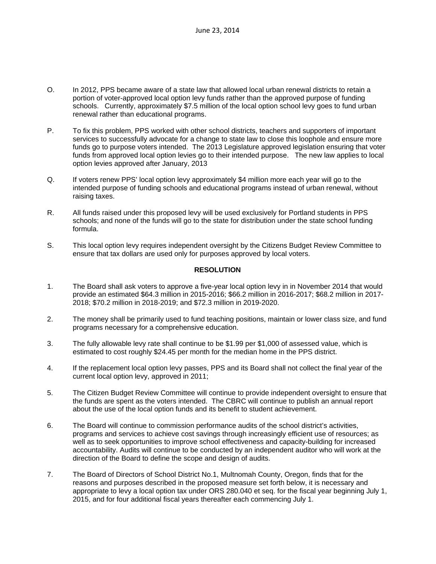- O. In 2012, PPS became aware of a state law that allowed local urban renewal districts to retain a portion of voter-approved local option levy funds rather than the approved purpose of funding schools. Currently, approximately \$7.5 million of the local option school levy goes to fund urban renewal rather than educational programs.
- P. To fix this problem, PPS worked with other school districts, teachers and supporters of important services to successfully advocate for a change to state law to close this loophole and ensure more funds go to purpose voters intended. The 2013 Legislature approved legislation ensuring that voter funds from approved local option levies go to their intended purpose. The new law applies to local option levies approved after January, 2013
- Q. If voters renew PPS' local option levy approximately \$4 million more each year will go to the intended purpose of funding schools and educational programs instead of urban renewal, without raising taxes.
- R. All funds raised under this proposed levy will be used exclusively for Portland students in PPS schools; and none of the funds will go to the state for distribution under the state school funding formula.
- S. This local option levy requires independent oversight by the Citizens Budget Review Committee to ensure that tax dollars are used only for purposes approved by local voters.

# **RESOLUTION**

- 1. The Board shall ask voters to approve a five-year local option levy in in November 2014 that would provide an estimated \$64.3 million in 2015-2016; \$66.2 million in 2016-2017; \$68.2 million in 2017- 2018; \$70.2 million in 2018-2019; and \$72.3 million in 2019-2020.
- 2. The money shall be primarily used to fund teaching positions, maintain or lower class size, and fund programs necessary for a comprehensive education.
- 3. The fully allowable levy rate shall continue to be \$1.99 per \$1,000 of assessed value, which is estimated to cost roughly \$24.45 per month for the median home in the PPS district.
- 4. If the replacement local option levy passes, PPS and its Board shall not collect the final year of the current local option levy, approved in 2011;
- 5. The Citizen Budget Review Committee will continue to provide independent oversight to ensure that the funds are spent as the voters intended. The CBRC will continue to publish an annual report about the use of the local option funds and its benefit to student achievement.
- 6. The Board will continue to commission performance audits of the school district's activities, programs and services to achieve cost savings through increasingly efficient use of resources; as well as to seek opportunities to improve school effectiveness and capacity-building for increased accountability. Audits will continue to be conducted by an independent auditor who will work at the direction of the Board to define the scope and design of audits.
- 7. The Board of Directors of School District No.1, Multnomah County, Oregon, finds that for the reasons and purposes described in the proposed measure set forth below, it is necessary and appropriate to levy a local option tax under ORS 280.040 et seq. for the fiscal year beginning July 1, 2015, and for four additional fiscal years thereafter each commencing July 1.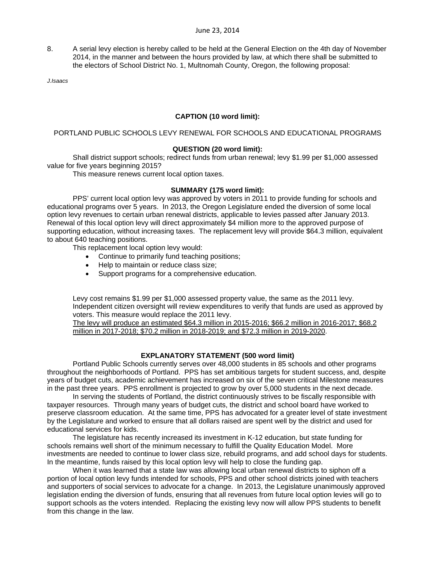8. A serial levy election is hereby called to be held at the General Election on the 4th day of November 2014, in the manner and between the hours provided by law, at which there shall be submitted to the electors of School District No. 1, Multnomah County, Oregon, the following proposal:

*J.Isaacs* 

# **CAPTION (10 word limit):**

# PORTLAND PUBLIC SCHOOLS LEVY RENEWAL FOR SCHOOLS AND EDUCATIONAL PROGRAMS

#### **QUESTION (20 word limit):**

Shall district support schools; redirect funds from urban renewal; levy \$1.99 per \$1,000 assessed value for five years beginning 2015?

This measure renews current local option taxes.

#### **SUMMARY (175 word limit):**

PPS' current local option levy was approved by voters in 2011 to provide funding for schools and educational programs over 5 years. In 2013, the Oregon Legislature ended the diversion of some local option levy revenues to certain urban renewal districts, applicable to levies passed after January 2013. Renewal of this local option levy will direct approximately \$4 million more to the approved purpose of supporting education, without increasing taxes. The replacement levy will provide \$64.3 million, equivalent to about 640 teaching positions.

This replacement local option levy would:

- Continue to primarily fund teaching positions;
- Help to maintain or reduce class size;
- Support programs for a comprehensive education.

Levy cost remains \$1.99 per \$1,000 assessed property value, the same as the 2011 levy. Independent citizen oversight will review expenditures to verify that funds are used as approved by voters. This measure would replace the 2011 levy.

The levy will produce an estimated \$64.3 million in 2015-2016; \$66.2 million in 2016-2017; \$68.2 million in 2017-2018; \$70.2 million in 2018-2019; and \$72.3 million in 2019-2020.

# **EXPLANATORY STATEMENT (500 word limit)**

Portland Public Schools currently serves over 48,000 students in 85 schools and other programs throughout the neighborhoods of Portland. PPS has set ambitious targets for student success, and, despite years of budget cuts, academic achievement has increased on six of the seven critical Milestone measures in the past three years. PPS enrollment is projected to grow by over 5,000 students in the next decade.

In serving the students of Portland, the district continuously strives to be fiscally responsible with taxpayer resources. Through many years of budget cuts, the district and school board have worked to preserve classroom education. At the same time, PPS has advocated for a greater level of state investment by the Legislature and worked to ensure that all dollars raised are spent well by the district and used for educational services for kids.

The legislature has recently increased its investment in K-12 education, but state funding for schools remains well short of the minimum necessary to fulfill the Quality Education Model. More investments are needed to continue to lower class size, rebuild programs, and add school days for students. In the meantime, funds raised by this local option levy will help to close the funding gap.

When it was learned that a state law was allowing local urban renewal districts to siphon off a portion of local option levy funds intended for schools, PPS and other school districts joined with teachers and supporters of social services to advocate for a change. In 2013, the Legislature unanimously approved legislation ending the diversion of funds, ensuring that all revenues from future local option levies will go to support schools as the voters intended. Replacing the existing levy now will allow PPS students to benefit from this change in the law.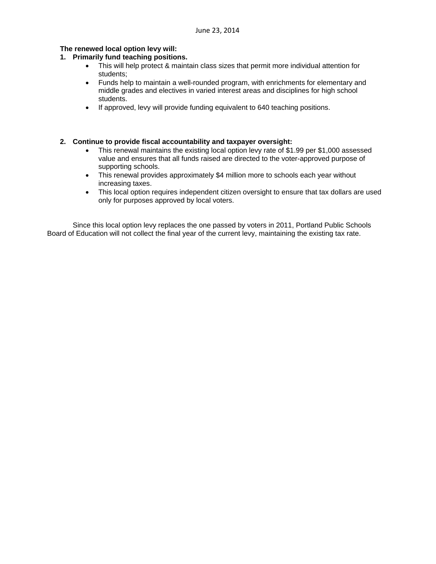#### **The renewed local option levy will:**

# **1. Primarily fund teaching positions.**

- This will help protect & maintain class sizes that permit more individual attention for students;
- Funds help to maintain a well-rounded program, with enrichments for elementary and middle grades and electives in varied interest areas and disciplines for high school students.
- If approved, levy will provide funding equivalent to 640 teaching positions.

# **2. Continue to provide fiscal accountability and taxpayer oversight:**

- This renewal maintains the existing local option levy rate of \$1.99 per \$1,000 assessed value and ensures that all funds raised are directed to the voter-approved purpose of supporting schools.
- This renewal provides approximately \$4 million more to schools each year without increasing taxes.
- This local option requires independent citizen oversight to ensure that tax dollars are used only for purposes approved by local voters.

Since this local option levy replaces the one passed by voters in 2011, Portland Public Schools Board of Education will not collect the final year of the current levy, maintaining the existing tax rate.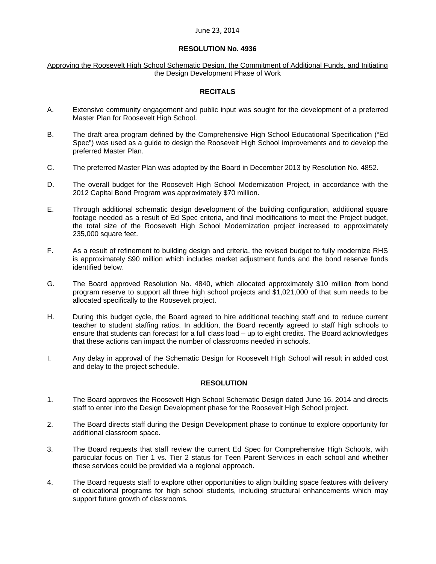### **RESOLUTION No. 4936**

#### Approving the Roosevelt High School Schematic Design, the Commitment of Additional Funds, and Initiating the Design Development Phase of Work

# **RECITALS**

- A. Extensive community engagement and public input was sought for the development of a preferred Master Plan for Roosevelt High School.
- B. The draft area program defined by the Comprehensive High School Educational Specification ("Ed Spec") was used as a guide to design the Roosevelt High School improvements and to develop the preferred Master Plan.
- C. The preferred Master Plan was adopted by the Board in December 2013 by Resolution No. 4852.
- D. The overall budget for the Roosevelt High School Modernization Project, in accordance with the 2012 Capital Bond Program was approximately \$70 million.
- E. Through additional schematic design development of the building configuration, additional square footage needed as a result of Ed Spec criteria, and final modifications to meet the Project budget, the total size of the Roosevelt High School Modernization project increased to approximately 235,000 square feet.
- F. As a result of refinement to building design and criteria, the revised budget to fully modernize RHS is approximately \$90 million which includes market adjustment funds and the bond reserve funds identified below.
- G. The Board approved Resolution No. 4840, which allocated approximately \$10 million from bond program reserve to support all three high school projects and \$1,021,000 of that sum needs to be allocated specifically to the Roosevelt project.
- H. During this budget cycle, the Board agreed to hire additional teaching staff and to reduce current teacher to student staffing ratios. In addition, the Board recently agreed to staff high schools to ensure that students can forecast for a full class load – up to eight credits. The Board acknowledges that these actions can impact the number of classrooms needed in schools.
- I. Any delay in approval of the Schematic Design for Roosevelt High School will result in added cost and delay to the project schedule.

#### **RESOLUTION**

- 1. The Board approves the Roosevelt High School Schematic Design dated June 16, 2014 and directs staff to enter into the Design Development phase for the Roosevelt High School project.
- 2. The Board directs staff during the Design Development phase to continue to explore opportunity for additional classroom space.
- 3. The Board requests that staff review the current Ed Spec for Comprehensive High Schools, with particular focus on Tier 1 vs. Tier 2 status for Teen Parent Services in each school and whether these services could be provided via a regional approach.
- 4. The Board requests staff to explore other opportunities to align building space features with delivery of educational programs for high school students, including structural enhancements which may support future growth of classrooms.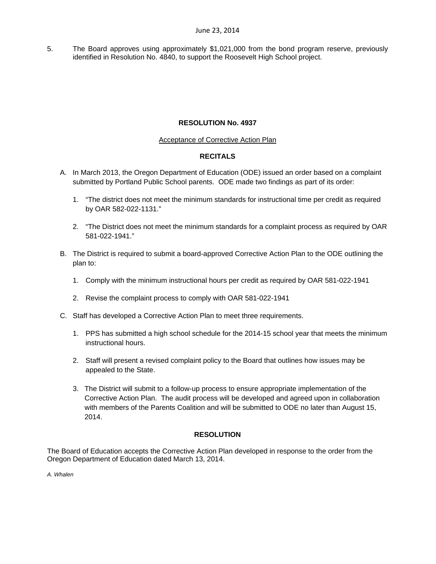5. The Board approves using approximately \$1,021,000 from the bond program reserve, previously identified in Resolution No. 4840, to support the Roosevelt High School project.

# **RESOLUTION No. 4937**

# Acceptance of Corrective Action Plan

# **RECITALS**

- A. In March 2013, the Oregon Department of Education (ODE) issued an order based on a complaint submitted by Portland Public School parents. ODE made two findings as part of its order:
	- 1. "The district does not meet the minimum standards for instructional time per credit as required by OAR 582-022-1131."
	- 2. "The District does not meet the minimum standards for a complaint process as required by OAR 581-022-1941."
- B. The District is required to submit a board-approved Corrective Action Plan to the ODE outlining the plan to:
	- 1. Comply with the minimum instructional hours per credit as required by OAR 581-022-1941
	- 2. Revise the complaint process to comply with OAR 581-022-1941
- C. Staff has developed a Corrective Action Plan to meet three requirements.
	- 1. PPS has submitted a high school schedule for the 2014-15 school year that meets the minimum instructional hours.
	- 2. Staff will present a revised complaint policy to the Board that outlines how issues may be appealed to the State.
	- 3. The District will submit to a follow-up process to ensure appropriate implementation of the Corrective Action Plan. The audit process will be developed and agreed upon in collaboration with members of the Parents Coalition and will be submitted to ODE no later than August 15, 2014.

# **RESOLUTION**

The Board of Education accepts the Corrective Action Plan developed in response to the order from the Oregon Department of Education dated March 13, 2014.

*A. Whalen*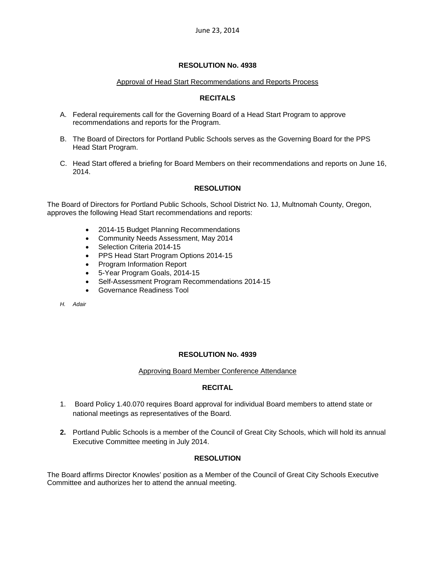# **RESOLUTION No. 4938**

### Approval of Head Start Recommendations and Reports Process

# **RECITALS**

- A. Federal requirements call for the Governing Board of a Head Start Program to approve recommendations and reports for the Program.
- B. The Board of Directors for Portland Public Schools serves as the Governing Board for the PPS Head Start Program.
- C. Head Start offered a briefing for Board Members on their recommendations and reports on June 16, 2014.

# **RESOLUTION**

The Board of Directors for Portland Public Schools, School District No. 1J, Multnomah County, Oregon, approves the following Head Start recommendations and reports:

- 2014-15 Budget Planning Recommendations
- Community Needs Assessment, May 2014
- Selection Criteria 2014-15
- PPS Head Start Program Options 2014-15
- Program Information Report
- 5-Year Program Goals, 2014-15
- Self-Assessment Program Recommendations 2014-15
- Governance Readiness Tool

*H. Adair* 

#### **RESOLUTION No. 4939**

#### Approving Board Member Conference Attendance

# **RECITAL**

- 1. Board Policy 1.40.070 requires Board approval for individual Board members to attend state or national meetings as representatives of the Board.
- **2.** Portland Public Schools is a member of the Council of Great City Schools, which will hold its annual Executive Committee meeting in July 2014.

#### **RESOLUTION**

The Board affirms Director Knowles' position as a Member of the Council of Great City Schools Executive Committee and authorizes her to attend the annual meeting.